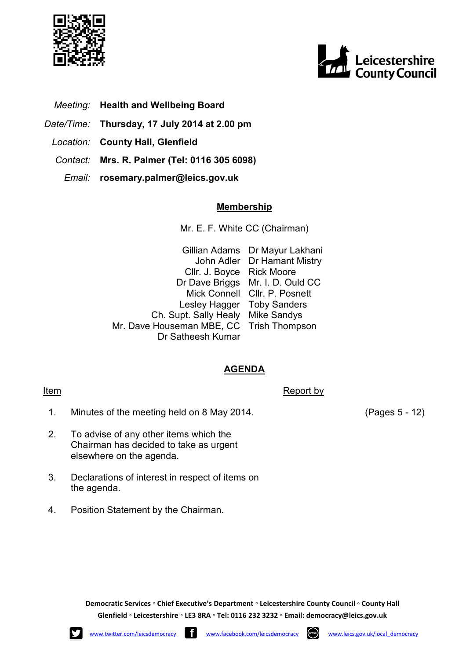



- *Meeting:* **Health and Wellbeing Board**
- *Date/Time:* **Thursday, 17 July 2014 at 2.00 pm**
	- *Location:* **County Hall, Glenfield**
	- *Contact:* **Mrs. R. Palmer (Tel: 0116 305 6098)**
		- *Email:* **rosemary.palmer@leics.gov.uk**

## **Membership**

Mr. E. F. White CC (Chairman)

Gillian Adams Dr Mayur Lakhani John Adler Dr Hamant Mistry Cllr. J. Boyce Rick Moore Dr Dave Briggs Mr. I. D. Ould CC Mick Connell Cllr. P. Posnett Lesley Hagger Toby Sanders Ch. Supt. Sally Healy Mike Sandys Mr. Dave Houseman MBE, CC Dr Satheesh Kumar Trish Thompson

## **AGENDA**

1. Minutes of the meeting held on 8 May 2014. (Pages 5 - 12)

Item Report by The Report by The Report by The Report by The Report by The Report by The Report by The Report by The Report by The Report by The Report by The Report by The Report by The Report by The Report by The Report

- 2. To advise of any other items which the Chairman has decided to take as urgent elsewhere on the agenda.
- 3. Declarations of interest in respect of items on the agenda.
- 4. Position Statement by the Chairman.

**Democratic Services ◦ Chief Executive's Department ◦ Leicestershire County Council ◦ County Hall Glenfield ◦ Leicestershire ◦ LE3 8RA ◦ Tel: 0116 232 3232 ◦ Email: democracy@leics.gov.uk**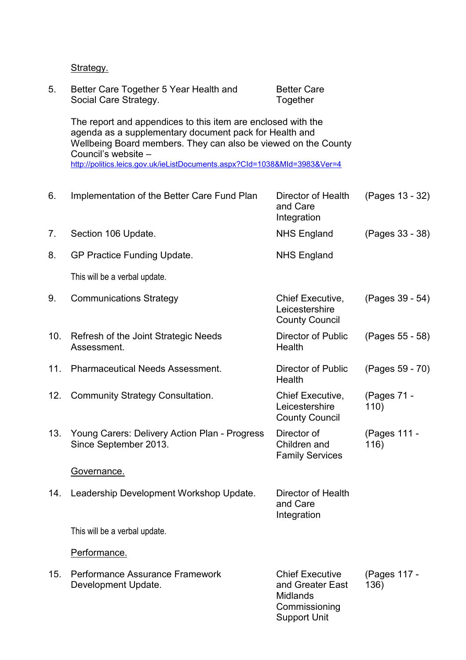## Strategy.

| 5.  | Better Care Together 5 Year Health and<br>Social Care Strategy.                                                                                                                                                                                                                              | <b>Better Care</b><br>Together                                                                        |                      |  |
|-----|----------------------------------------------------------------------------------------------------------------------------------------------------------------------------------------------------------------------------------------------------------------------------------------------|-------------------------------------------------------------------------------------------------------|----------------------|--|
|     | The report and appendices to this item are enclosed with the<br>agenda as a supplementary document pack for Health and<br>Wellbeing Board members. They can also be viewed on the County<br>Council's website -<br>http://politics.leics.gov.uk/ieListDocuments.aspx?CId=1038&MId=3983&Ver=4 |                                                                                                       |                      |  |
|     |                                                                                                                                                                                                                                                                                              |                                                                                                       |                      |  |
| 6.  | Implementation of the Better Care Fund Plan                                                                                                                                                                                                                                                  | Director of Health<br>and Care<br>Integration                                                         | (Pages 13 - 32)      |  |
| 7.  | Section 106 Update.                                                                                                                                                                                                                                                                          | <b>NHS England</b>                                                                                    | (Pages 33 - 38)      |  |
| 8.  | GP Practice Funding Update.                                                                                                                                                                                                                                                                  | <b>NHS England</b>                                                                                    |                      |  |
|     | This will be a verbal update.                                                                                                                                                                                                                                                                |                                                                                                       |                      |  |
| 9.  | <b>Communications Strategy</b>                                                                                                                                                                                                                                                               | <b>Chief Executive,</b><br>Leicestershire<br><b>County Council</b>                                    | (Pages 39 - 54)      |  |
| 10. | Refresh of the Joint Strategic Needs<br>Assessment.                                                                                                                                                                                                                                          | Director of Public<br>Health                                                                          | (Pages 55 - 58)      |  |
| 11. | <b>Pharmaceutical Needs Assessment.</b>                                                                                                                                                                                                                                                      | <b>Director of Public</b><br>Health                                                                   | (Pages 59 - 70)      |  |
| 12. | <b>Community Strategy Consultation.</b>                                                                                                                                                                                                                                                      | Chief Executive,<br>Leicestershire<br><b>County Council</b>                                           | (Pages 71 -<br>110)  |  |
| 13. | Young Carers: Delivery Action Plan - Progress<br>Since September 2013.                                                                                                                                                                                                                       | Director of<br>Children and<br><b>Family Services</b>                                                 | (Pages 111 -<br>116) |  |
|     | Governance.                                                                                                                                                                                                                                                                                  |                                                                                                       |                      |  |
| 14. | Leadership Development Workshop Update.                                                                                                                                                                                                                                                      | Director of Health<br>and Care<br>Integration                                                         |                      |  |
|     | This will be a verbal update.                                                                                                                                                                                                                                                                |                                                                                                       |                      |  |
|     | Performance.                                                                                                                                                                                                                                                                                 |                                                                                                       |                      |  |
| 15. | Performance Assurance Framework<br>Development Update.                                                                                                                                                                                                                                       | <b>Chief Executive</b><br>and Greater East<br><b>Midlands</b><br>Commissioning<br><b>Support Unit</b> | (Pages 117 -<br>136) |  |